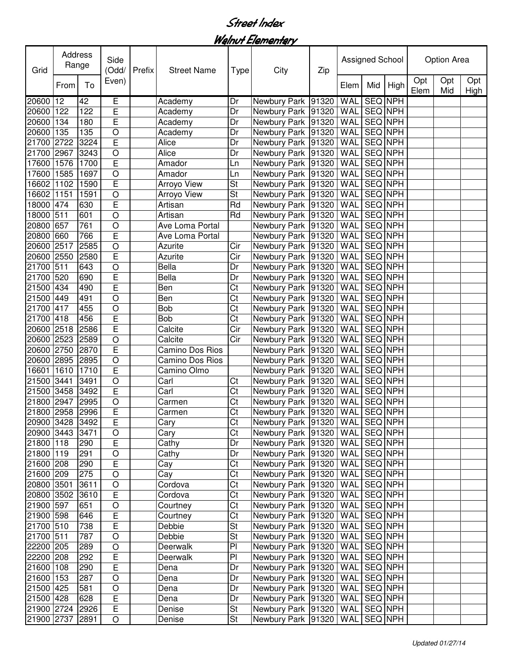Walnut Elementary

| Grid            | Address<br>Range |      | Side<br>Prefix<br>(Odd/ |  | <b>Street Name</b> | Type                     | City                                 | Zip | Assigned School |                |      | Option Area |            |             |  |
|-----------------|------------------|------|-------------------------|--|--------------------|--------------------------|--------------------------------------|-----|-----------------|----------------|------|-------------|------------|-------------|--|
|                 | From             | To   | Even)                   |  |                    |                          |                                      |     | Elem            | Mid            | High | Opt<br>Elem | Opt<br>Mid | Opt<br>High |  |
| 20600           | 12               | 42   | Έ                       |  | Academy            | Dr                       | Newbury Park 91320                   |     | WAL             | <b>SEQ NPH</b> |      |             |            |             |  |
| 20600           | 122              | 122  | E                       |  | Academy            | Dr                       | Newbury Park 91320                   |     | <b>WAL</b>      | <b>SEQ NPH</b> |      |             |            |             |  |
| 20600           | 134              | 180  | E                       |  | Academy            | Dr                       | Newbury Park 91320                   |     | WAL             | <b>SEQ NPH</b> |      |             |            |             |  |
| 20600           | 135              | 135  | $\circ$                 |  | Academy            | Dr                       | Newbury Park 91320                   |     | WAL             | SEQ NPH        |      |             |            |             |  |
| 21700           | 2722             | 3224 | $\mathsf E$             |  | Alice              | Dr                       | Newbury Park 91320                   |     | WAL             | <b>SEQ NPH</b> |      |             |            |             |  |
| 21700           | 2967             | 3243 | $\circ$                 |  | Alice              | Dr                       | Newbury Park 91320                   |     | WAL             | <b>SEQ NPH</b> |      |             |            |             |  |
| 17600           | 1576             | 1700 | $\overline{E}$          |  | Amador             | Ln                       | Newbury Park 91320                   |     | WAL             | <b>SEQ NPH</b> |      |             |            |             |  |
| 17600           | 1585             | 1697 | $\circ$                 |  | Amador             | Ln                       | Newbury Park 91320                   |     | WAL             | SEQ NPH        |      |             |            |             |  |
| 16602           | 1102             | 1590 | $\mathsf E$             |  | Arroyo View        | St                       | Newbury Park 91320                   |     | WAL             | SEQ NPH        |      |             |            |             |  |
| 16602           | 1151             | 1591 | O                       |  | Arroyo View        | St                       | Newbury Park 91320                   |     | WAL             | SEQ NPH        |      |             |            |             |  |
| 18000           | 474              | 630  | $\overline{E}$          |  | Artisan            | Rd                       | Newbury Park 91320                   |     | WAL             | SEQ NPH        |      |             |            |             |  |
| 18000           | 511              | 601  | $\circ$                 |  | Artisan            | Rd                       | Newbury Park 91320                   |     | WAL             | SEQ NPH        |      |             |            |             |  |
| 20800           | 657              | 761  | $\circ$                 |  | Ave Loma Portal    |                          | Newbury Park 91320                   |     | WAL             | SEQ NPH        |      |             |            |             |  |
| 20800           | 660              | 766  | $\mathsf E$             |  | Ave Loma Portal    |                          | Newbury Park 91320                   |     | WAL             | SEQ NPH        |      |             |            |             |  |
| 20600 2517      |                  | 2585 | $\circ$                 |  | Azurite            | Cir                      | Newbury Park 91320                   |     | WAL             | SEQ NPH        |      |             |            |             |  |
| 20600 2550      |                  | 2580 | $\mathsf E$             |  | Azurite            | Cir                      | Newbury Park 91320                   |     | WAL             | SEQ NPH        |      |             |            |             |  |
| 21700 511       |                  | 643  | $\circ$                 |  | <b>Bella</b>       | Dr                       | Newbury Park 91320                   |     | WAL             | SEQ NPH        |      |             |            |             |  |
| 21700           | 520              | 690  | E                       |  | Bella              | Dr                       | Newbury Park 91320                   |     | WAL             | SEQ NPH        |      |             |            |             |  |
| 21500 434       |                  | 490  | E                       |  | Ben                | $\overline{\text{Ct}}$   | Newbury Park 91320                   |     | WAL             | SEQ NPH        |      |             |            |             |  |
| 21500 449       |                  | 491  | $\circ$                 |  | Ben                | $\overline{\text{Ct}}$   | Newbury Park 91320                   |     | WAL             | <b>SEQ NPH</b> |      |             |            |             |  |
| 21700           | 417              | 455  | $\circ$                 |  | <b>Bob</b>         | $\overline{\text{Ct}}$   | Newbury Park 91320                   |     | WAL             | <b>SEQ NPH</b> |      |             |            |             |  |
| 21700           | 418              | 456  | E                       |  | <b>Bob</b>         | $\overline{\text{C}t}$   | Newbury Park 91320                   |     | WAL             | SEQ NPH        |      |             |            |             |  |
| 20600           | 2518             | 2586 | $\overline{E}$          |  | Calcite            | $\overline{C}$ ir        | Newbury Park 91320                   |     | WAL             | SEQ NPH        |      |             |            |             |  |
| 20600           | 2523             | 2589 | $\circ$                 |  | Calcite            | Cir                      | Newbury Park 91320                   |     | WAL             | SEQ NPH        |      |             |            |             |  |
| 20600           | 2750             | 2870 | $\overline{\mathsf{E}}$ |  | Camino Dos Rios    |                          | Newbury Park 91320                   |     | WAL             | SEQ NPH        |      |             |            |             |  |
| 20600           | 2895             | 2895 | $\circ$                 |  | Camino Dos Rios    |                          | Newbury Park 91320                   |     | WAL             | SEQ NPH        |      |             |            |             |  |
| 16601           | 1610             | 1710 | $\overline{E}$          |  | Camino Olmo        |                          | Newbury Park 91320                   |     | WAL             | SEQ NPH        |      |             |            |             |  |
| 21500           | 3441             | 3491 | $\circ$                 |  | Carl               | Ct                       | Newbury Park 91320                   |     | WAL             | SEQ NPH        |      |             |            |             |  |
| 21500           | 3458             | 3492 | $\mathsf E$             |  | Carl               | Ct                       | Newbury Park 91320                   |     | WAL             | SEQ NPH        |      |             |            |             |  |
| 21800           | 2947             | 2995 | $\circ$                 |  | Carmen             | Ct                       | Newbury Park 91320                   |     | WAL             | SEQ NPH        |      |             |            |             |  |
| 21800 2958      |                  | 2996 | $\overline{E}$          |  | Carmen             | Ct                       | Newbury Park 91320                   |     | WAL             | SEQ NPH        |      |             |            |             |  |
| 20900 3428 3492 |                  |      | $\overline{E}$          |  | Cary               | $\overline{\text{Ct}}$   | Newbury Park 91320   WAL SEQ NPH     |     |                 |                |      |             |            |             |  |
| 20900 3443      |                  | 3471 | $\circ$                 |  | Cary               | Ct                       | Newbury Park   91320   WAL   SEQ NPH |     |                 |                |      |             |            |             |  |
| 21800 118       |                  | 290  | $\mathsf E$             |  | Cathy              | Dr                       | Newbury Park   91320   WAL           |     |                 | SEQ NPH        |      |             |            |             |  |
| 21800 119       |                  | 291  | $\mathsf O$             |  | Cathy              | Dr                       | Newbury Park 91320   WAL SEQ NPH     |     |                 |                |      |             |            |             |  |
| 21600 208       |                  | 290  | $\mathsf E$             |  | Cay                | $\overline{\text{C}t}$   | Newbury Park 91320                   |     | <b>WAL</b>      | SEQ NPH        |      |             |            |             |  |
| 21600 209       |                  | 275  | $\bigcirc$              |  | Cay                | Ct                       | Newbury Park 91320                   |     | WAL             | SEQ NPH        |      |             |            |             |  |
| 20800 3501      |                  | 3611 | $\bigcirc$              |  | Cordova            | Ct                       | Newbury Park 91320                   |     | WAL             | SEQ NPH        |      |             |            |             |  |
| 20800 3502      |                  | 3610 | $\overline{E}$          |  | Cordova            | C <sub>t</sub>           | Newbury Park 91320                   |     | WAL             | SEQ NPH        |      |             |            |             |  |
| 21900 597       |                  | 651  | $\bigcirc$              |  | Courtney           | Ct                       | Newbury Park 91320                   |     | WAL             | SEQ NPH        |      |             |            |             |  |
| 21900 598       |                  | 646  | $\overline{E}$          |  | Courtney           | Ct                       | Newbury Park 91320                   |     | WAL             | SEQ NPH        |      |             |            |             |  |
| 21700 510       |                  | 738  | $\overline{E}$          |  | Debbie             | St                       | Newbury Park 91320                   |     | <b>WAL</b>      | SEQ NPH        |      |             |            |             |  |
| 21700 511       |                  | 787  | $\bigcirc$              |  | Debbie             | St                       | Newbury Park 91320                   |     | WAL             | SEQ NPH        |      |             |            |             |  |
| 22200 205       |                  | 289  | $\circ$                 |  | Deerwalk           | $\overline{P}$           | Newbury Park 91320                   |     | <b>WAL</b>      | SEQ NPH        |      |             |            |             |  |
| 22200 208       |                  | 292  | $\mathsf E$             |  | Deerwalk           | $\overline{P}$           | Newbury Park 91320                   |     | WAL             | SEQ NPH        |      |             |            |             |  |
| 21600 108       |                  | 290  | $\mathsf E$             |  | Dena               | Dr                       | Newbury Park 91320                   |     | WAL             | SEQ NPH        |      |             |            |             |  |
| 21600 153       |                  | 287  | $\bigcirc$              |  | Dena               | Dr                       | Newbury Park 91320                   |     | WAL             | SEQ NPH        |      |             |            |             |  |
| 21500 425       |                  | 581  | $\bigcirc$              |  | Dena               | Dr                       | Newbury Park 91320                   |     | <b>WAL</b>      | SEQ NPH        |      |             |            |             |  |
| 21500 428       |                  | 628  | $\mathsf E$             |  | Dena               | Dr                       | Newbury Park 91320                   |     | <b>WAL</b>      | SEQ NPH        |      |             |            |             |  |
| 21900 2724      |                  | 2926 | $\overline{E}$          |  | Denise             | $\overline{\mathsf{St}}$ | Newbury Park 91320                   |     | WAL             | SEQ NPH        |      |             |            |             |  |
|                 |                  |      |                         |  |                    | $\overline{\mathsf{St}}$ |                                      |     |                 |                |      |             |            |             |  |
| 21900 2737      |                  | 2891 | O                       |  | Denise             |                          | Newbury Park 91320                   |     | WAL             | SEQ NPH        |      |             |            |             |  |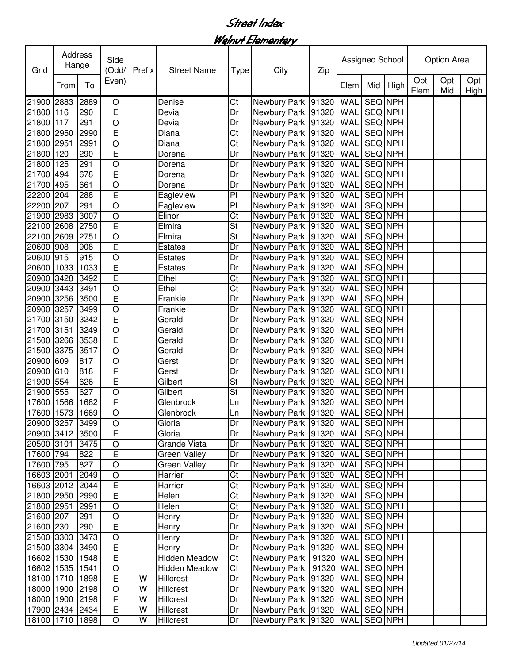Walnut Elementary

| Grid            | Address<br>Range |      | Side<br>(Odd/  | Prefix | <b>Street Name</b>  | Type                     | City                           | Zip | <b>Assigned School</b> |                |      | Option Area |            |             |
|-----------------|------------------|------|----------------|--------|---------------------|--------------------------|--------------------------------|-----|------------------------|----------------|------|-------------|------------|-------------|
|                 | From             | To   | Even)          |        |                     |                          |                                |     | Elem                   | Mid            | High | Opt<br>Elem | Opt<br>Mid | Opt<br>High |
| 21900           | 2883             | 2889 | O              |        | Denise              | Ct                       | Newbury Park 91320             |     | <b>WAL</b>             | <b>SEQ NPH</b> |      |             |            |             |
| 21800           | 116              | 290  | $\mathsf E$    |        | Devia               | Dr                       | Newbury Park 91320             |     | WAL                    | <b>SEQ NPH</b> |      |             |            |             |
| 21800           | 117              | 291  | $\circ$        |        | Devia               | Dr                       | Newbury Park 91320             |     | WAL                    | <b>SEQ NPH</b> |      |             |            |             |
| 21800           | 2950             | 2990 | $\overline{E}$ |        | Diana               | Ct                       | Newbury Park 91320             |     | WAL                    | SEQ NPH        |      |             |            |             |
| 21800           | 2951             | 2991 | $\circ$        |        | Diana               | Ct                       | Newbury Park 91320             |     | <b>WAL</b>             | SEQ NPH        |      |             |            |             |
| 21800           | 120              | 290  | $\overline{E}$ |        | Dorena              | Dr                       | Newbury Park 91320             |     | WAL                    | SEQ NPH        |      |             |            |             |
| 21800           | 125              | 291  | $\circ$        |        | Dorena              | Dr                       | Newbury Park 91320             |     | WAL                    | SEQ NPH        |      |             |            |             |
| 21700           | 494              | 678  | $\mathsf E$    |        | Dorena              | Dr                       | Newbury Park 91320             |     | WAL                    | SEQ NPH        |      |             |            |             |
| 21700           | 495              | 661  | $\circ$        |        | Dorena              | Dr                       | Newbury Park 91320             |     | WAL                    | SEQ NPH        |      |             |            |             |
| 22200           | 204              | 288  | $\mathsf E$    |        | Eagleview           | P <sub>1</sub>           | Newbury Park 91320             |     | WAL                    | SEQ NPH        |      |             |            |             |
| 22200           | 207              | 291  | $\circ$        |        | Eagleview           | $\overline{P}$           | Newbury Park 91320             |     | WAL                    | SEQ NPH        |      |             |            |             |
| 21900 2983      |                  | 3007 | $\circ$        |        | Elinor              | $\overline{\text{Ct}}$   | Newbury Park 91320             |     | WAL                    | <b>SEQ NPH</b> |      |             |            |             |
| 22100 2608      |                  | 2750 | E              |        | Elmira              | $\overline{\mathsf{St}}$ | Newbury Park 91320             |     | WAL                    | SEQ NPH        |      |             |            |             |
| 22100 2609      |                  | 2751 | $\circ$        |        | Elmira              | $\overline{\mathsf{St}}$ | Newbury Park 91320             |     | WAL                    | SEQ NPH        |      |             |            |             |
| 20600           | 908              | 908  | E              |        | Estates             | Dr                       | Newbury Park 91320             |     | WAL                    | SEQ NPH        |      |             |            |             |
| 20600 915       |                  | 915  | $\circ$        |        | Estates             | Dr                       | Newbury Park 91320             |     | WAL                    | <b>SEQ NPH</b> |      |             |            |             |
| 20600           | 1033             | 1033 | E              |        | Estates             | Dr                       | Newbury Park 91320             |     | WAL                    | <b>SEQ NPH</b> |      |             |            |             |
| 20900           | 3428             | 3492 | $\overline{E}$ |        | Ethel               | Ct                       | Newbury Park 91320             |     | WAL                    | SEQ NPH        |      |             |            |             |
| 20900           | 3443             | 3491 | $\circ$        |        | Ethel               | Ct                       | Newbury Park 91320             |     | WAL                    | SEQ NPH        |      |             |            |             |
| 20900           | 3256             | 3500 | $\overline{E}$ |        | Frankie             | Dr                       | Newbury Park 91320             |     | WAL                    | SEQ NPH        |      |             |            |             |
| 20900           | 3257             | 3499 | O              |        | Frankie             | Dr                       | Newbury Park 91320             |     | WAL                    | SEQ NPH        |      |             |            |             |
| 21700           | 3150             | 3242 | $\mathsf E$    |        | Gerald              | Dr                       | Newbury Park 91320             |     | <b>WAL</b>             | SEQ NPH        |      |             |            |             |
| 21700           | 3151             | 3249 | $\circ$        |        | Gerald              | Dr                       | Newbury Park 91320             |     | WAL                    | SEQ NPH        |      |             |            |             |
| 21500 3266      |                  | 3538 | $\overline{E}$ |        | Gerald              | Dr                       | Newbury Park 91320             |     | WAL                    | <b>SEQ NPH</b> |      |             |            |             |
| 21500           | 3375             | 3517 | $\circ$        |        | Gerald              | Dr                       | Newbury Park 91320             |     | WAL                    | SEQ NPH        |      |             |            |             |
| 20900           | 609              | 817  | $\circ$        |        | Gerst               | Dr                       | Newbury Park 91320             |     | WAL                    | <b>SEQ NPH</b> |      |             |            |             |
| 20900 610       |                  | 818  | $\mathsf E$    |        | Gerst               | Dr                       | Newbury Park 91320             |     | WAL                    | SEQ NPH        |      |             |            |             |
| 21900 554       |                  | 626  | $\overline{E}$ |        | Gilbert             | St                       | Newbury Park 91320             |     | WAL                    | SEQ NPH        |      |             |            |             |
| 21900 555       |                  | 627  | $\circ$        |        | Gilbert             | St                       | Newbury Park 91320             |     | WAL                    | SEQ NPH        |      |             |            |             |
| 17600           | 1566             | 1682 | $\mathsf E$    |        | Glenbrock           | Ln                       | Newbury Park 91320             |     | WAL                    | SEQ NPH        |      |             |            |             |
| 17600 1573      |                  | 1669 | $\bigcirc$     |        | Glenbrock           | Ln                       | Newbury Park   91320   WAL     |     |                        | <b>SEQ NPH</b> |      |             |            |             |
| 20900 3257 3499 |                  |      | $\bigcirc$     |        | Gloria              | Dr                       | Newbury Park 91320 WAL SEQ NPH |     |                        |                |      |             |            |             |
| 20900 3412      |                  | 3500 | $\overline{E}$ |        | Gloria              | Dr                       | Newbury Park   91320   WAL     |     |                        | SEQ NPH        |      |             |            |             |
| 20500 3101      |                  | 3475 | $\bigcirc$     |        | Grande Vista        | Dr                       | Newbury Park 91320             |     | <b>WAL</b>             | SEQ NPH        |      |             |            |             |
| 17600 794       |                  | 822  | $\overline{E}$ |        | <b>Green Valley</b> | Dr                       | Newbury Park 91320             |     | <b>WAL</b>             | SEQ NPH        |      |             |            |             |
| 17600 795       |                  | 827  | $\circ$        |        | <b>Green Valley</b> | Dr                       | Newbury Park 91320             |     | <b>WAL</b>             | SEQ NPH        |      |             |            |             |
| 16603 2001      |                  | 2049 | $\circ$        |        | Harrier             | Ct                       | Newbury Park 91320             |     | WAL                    | <b>SEQ NPH</b> |      |             |            |             |
| 16603 2012      |                  | 2044 | $\overline{E}$ |        | Harrier             | $\overline{\text{C}t}$   | Newbury Park 91320             |     | WAL                    | SEQ NPH        |      |             |            |             |
| 21800 2950      |                  | 2990 | $\mathsf E$    |        | Helen               | $\overline{\text{C}t}$   | Newbury Park 91320             |     | WAL                    | SEQ NPH        |      |             |            |             |
| 21800 2951      |                  | 2991 | O              |        | Helen               | $\overline{\text{C}t}$   | Newbury Park 91320             |     | <b>WAL</b>             | SEQ NPH        |      |             |            |             |
| 21600 207       |                  | 291  | $\bigcirc$     |        | Henry               | Dr                       | Newbury Park 91320             |     | WAL                    | SEQ NPH        |      |             |            |             |
| 21600 230       |                  | 290  | $\mathsf E$    |        | Henry               | Dr                       | Newbury Park 91320             |     | WAL                    | SEQ NPH        |      |             |            |             |
| 21500 3303      |                  | 3473 | $\bigcirc$     |        | Henry               | Dr                       | Newbury Park 91320             |     | <b>WAL</b>             | SEQ NPH        |      |             |            |             |
| 21500 3304      |                  | 3490 | $\mathsf E$    |        | Henry               | Dr                       | Newbury Park 91320             |     | WAL                    | SEQ NPH        |      |             |            |             |
| 16602 1530      |                  | 1548 | $\mathsf E$    |        | Hidden Meadow       | Ct                       | Newbury Park   91320           |     | WAL                    | SEQ NPH        |      |             |            |             |
| 16602 1535      |                  | 1541 | $\bigcirc$     |        | Hidden Meadow       | Ct                       | Newbury Park   91320           |     | WAL                    | SEQ NPH        |      |             |            |             |
| 18100 1710      |                  | 1898 | $\mathsf E$    | W      | Hillcrest           | Dr                       | Newbury Park 91320             |     | WAL                    | SEQ NPH        |      |             |            |             |
| 18000 1900      |                  | 2198 | $\circ$        | W      | Hillcrest           | Dr                       | Newbury Park 91320             |     | WAL                    | <b>SEQ NPH</b> |      |             |            |             |
| 18000 1900      |                  | 2198 | $\mathsf E$    | W      | Hillcrest           | Dr                       | Newbury Park 91320             |     | WAL                    | SEQ NPH        |      |             |            |             |
| 17900 2434      |                  | 2434 | $\overline{E}$ | W      | Hillcrest           | Dr                       | Newbury Park 91320             |     | WAL                    | SEQ NPH        |      |             |            |             |
| 18100 1710      |                  | 1898 | O              | W      | Hillcrest           | Dr                       | Newbury Park 91320             |     | <b>WAL</b>             | SEQ NPH        |      |             |            |             |
|                 |                  |      |                |        |                     |                          |                                |     |                        |                |      |             |            |             |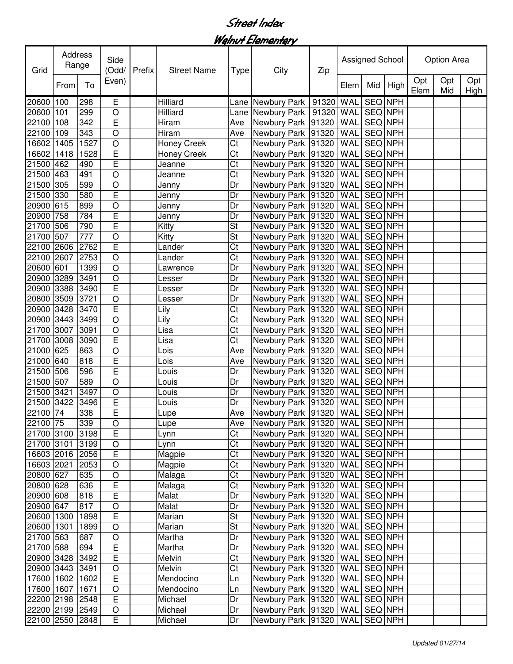Walnut Elementary

| Grid            | Address<br>Range |      | Side<br>(Odd/  | Prefix | <b>Street Name</b> | Type                     | City                           | Zip | <b>Assigned School</b> |                |      | Option Area |            |             |  |
|-----------------|------------------|------|----------------|--------|--------------------|--------------------------|--------------------------------|-----|------------------------|----------------|------|-------------|------------|-------------|--|
|                 | From             | To   | Even)          |        |                    |                          |                                |     | Elem                   | Mid            | High | Opt<br>Elem | Opt<br>Mid | Opt<br>High |  |
| 20600           | 100              | 298  | $\mathsf E$    |        | Hilliard           | Lane                     | Newbury Park   91320           |     | <b>WAL</b>             | <b>SEQ NPH</b> |      |             |            |             |  |
| 20600           | 101              | 299  | $\circ$        |        | Hilliard           | Lane                     | Newbury Park   91320           |     | WAL                    | <b>SEQ NPH</b> |      |             |            |             |  |
| 22100           | 108              | 342  | $\overline{E}$ |        | Hiram              | Ave                      | Newbury Park 91320             |     | WAL                    | <b>SEQ NPH</b> |      |             |            |             |  |
| 22100           | 109              | 343  | O              |        | Hiram              | Ave                      | Newbury Park 91320             |     | WAL                    | SEQ NPH        |      |             |            |             |  |
| 16602           | 1405             | 1527 | $\circ$        |        | Honey Creek        | Ct                       | Newbury Park 91320             |     | WAL                    | SEQ NPH        |      |             |            |             |  |
| 16602           | 1418             | 1528 | $\mathsf E$    |        | Honey Creek        | Ct                       | Newbury Park 91320             |     | WAL                    | SEQ NPH        |      |             |            |             |  |
| 21500           | 462              | 490  | $\overline{E}$ |        | Jeanne             | Ct                       | Newbury Park 91320             |     | WAL                    | SEQ NPH        |      |             |            |             |  |
| 21500           | 463              | 491  | $\circ$        |        | Jeanne             | Ct                       | Newbury Park 91320             |     | WAL                    | SEQ NPH        |      |             |            |             |  |
| 21500           | 305              | 599  | $\circ$        |        | Jenny              | Dr                       | Newbury Park 91320             |     | WAL                    | <b>SEQ NPH</b> |      |             |            |             |  |
| 21500           | 330              | 580  | $\mathsf E$    |        | Jenny              | Dr                       | Newbury Park 91320             |     | WAL                    | <b>SEQ NPH</b> |      |             |            |             |  |
| 20900           | 615              | 899  | $\circ$        |        | Jenny              | Dr                       | Newbury Park 91320             |     | WAL                    | SEQ NPH        |      |             |            |             |  |
| 20900           | 758              | 784  | E              |        | Jenny              | Dr                       | Newbury Park 91320             |     | WAL                    | <b>SEQ NPH</b> |      |             |            |             |  |
| 21700           | 506              | 790  | E              |        | Kitty              | $\overline{\mathsf{St}}$ | Newbury Park 91320             |     | WAL                    | SEQ NPH        |      |             |            |             |  |
| 21700           | 507              | 777  | $\circ$        |        | Kitty              | $\overline{\mathsf{St}}$ | Newbury Park 91320             |     | WAL                    | SEQ NPH        |      |             |            |             |  |
| 22100           | 2606             | 2762 | E              |        | Lander             | $\overline{\text{Ct}}$   | Newbury Park 91320             |     | WAL                    | SEQ NPH        |      |             |            |             |  |
| 22100           | 2607             | 2753 | $\circ$        |        | Lander             | $\overline{\text{Ct}}$   | Newbury Park 91320             |     | WAL                    | <b>SEQ NPH</b> |      |             |            |             |  |
| 20600           | 601              | 1399 | $\circ$        |        | Lawrence           | Dr                       | Newbury Park 91320             |     | WAL                    | <b>SEQ NPH</b> |      |             |            |             |  |
| 20900           | 3289             | 3491 | $\circ$        |        | Lesser             | Dr                       | Newbury Park 91320             |     | WAL                    | SEQ NPH        |      |             |            |             |  |
| 20900           | 3388             | 3490 | $\overline{E}$ |        | Lesser             | Dr                       | Newbury Park 91320             |     | WAL                    | <b>SEQ NPH</b> |      |             |            |             |  |
| 20800           | 3509             | 3721 | $\circ$        |        | Lesser             | Dr                       | Newbury Park 91320             |     | WAL                    | <b>SEQ NPH</b> |      |             |            |             |  |
| 20900           | 3428             | 3470 | $\mathsf E$    |        | Lily               | Ct                       | Newbury Park 91320             |     | WAL                    | SEQ NPH        |      |             |            |             |  |
| 20900           | 3443             | 3499 | $\circ$        |        | Lily               | Ct                       | Newbury Park 91320             |     | WAL                    | SEQ NPH        |      |             |            |             |  |
| 21700           | 3007             | 3091 | $\circ$        |        | Lisa               | Ct                       | Newbury Park 91320             |     | WAL                    | SEQ NPH        |      |             |            |             |  |
| 21700           | 3008             | 3090 | $\overline{E}$ |        | Lisa               | Ct                       | Newbury Park 91320             |     | WAL                    | <b>SEQ NPH</b> |      |             |            |             |  |
| 21000           | 625              | 863  | $\circ$        |        | Lois               | Ave                      | Newbury Park 91320             |     | WAL                    | SEQ NPH        |      |             |            |             |  |
| 21000           | 640              | 818  | $\mathsf E$    |        | Lois               | Ave                      | Newbury Park 91320             |     | WAL                    | SEQ NPH        |      |             |            |             |  |
| 21500           | 506              | 596  | $\mathsf E$    |        | Louis              | Dr                       | Newbury Park 91320             |     | WAL                    | SEQ NPH        |      |             |            |             |  |
| 21500           | 507              | 589  | $\circ$        |        | Louis              | Dr                       | Newbury Park 91320             |     | WAL                    | SEQ NPH        |      |             |            |             |  |
| 21500           | 3421             | 3497 | $\circ$        |        | Louis              | Dr                       | Newbury Park 91320             |     | WAL                    | SEQ NPH        |      |             |            |             |  |
| 21500           | 3422             | 3496 | $\mathsf E$    |        | Louis              | Dr                       | Newbury Park 91320             |     | WAL                    | SEQ NPH        |      |             |            |             |  |
| 22100 74        |                  | 338  | E              |        | Lupe               | Ave                      | Newbury Park   91320   WAL     |     |                        | SEQ NPH        |      |             |            |             |  |
| 22100 75        |                  | 339  | $\overline{O}$ |        | Lupe               | Ave                      | Newbury Park 91320 WAL SEQ NPH |     |                        |                |      |             |            |             |  |
| 21700 3100 3198 |                  |      | $\overline{E}$ |        | Lynn               | Ct                       | Newbury Park   91320   WAL     |     |                        | SEQ NPH        |      |             |            |             |  |
| 21700 3101      |                  | 3199 | $\bigcirc$     |        | Lynn               | $\overline{\text{C}t}$   | Newbury Park 91320             |     | <b>WAL</b>             | SEQ NPH        |      |             |            |             |  |
| 16603 2016      |                  | 2056 | $\mathsf E$    |        | Magpie             | $\overline{\text{C}t}$   | Newbury Park 91320             |     | <b>WAL</b>             | <b>SEQ NPH</b> |      |             |            |             |  |
| 16603 2021      |                  | 2053 | $\circ$        |        | Magpie             | $\overline{\text{C}t}$   | Newbury Park 91320             |     | <b>WAL</b>             | <b>SEQ NPH</b> |      |             |            |             |  |
| 20800 627       |                  | 635  | $\circ$        |        | Malaga             | $\overline{\text{C}t}$   | Newbury Park 91320             |     | WAL                    | <b>SEQ NPH</b> |      |             |            |             |  |
| 20800 628       |                  | 636  | $\overline{E}$ |        | Malaga             | $\overline{\text{C}t}$   | Newbury Park 91320             |     | WAL                    | SEQ NPH        |      |             |            |             |  |
| 20900 608       |                  | 818  | $\mathsf E$    |        | Malat              | Dr                       | Newbury Park 91320             |     | <b>WAL</b>             | SEQ NPH        |      |             |            |             |  |
| 20900 647       |                  | 817  | O              |        | Malat              | Dr                       | Newbury Park 91320             |     | <b>WAL</b>             | SEQ NPH        |      |             |            |             |  |
| 20600           | 1300             | 1898 | $\overline{E}$ |        | Marian             | <b>St</b>                | Newbury Park 91320             |     | WAL                    | SEQ NPH        |      |             |            |             |  |
| 20600           | 1301             | 1899 | $\bigcirc$     |        | Marian             | <b>St</b>                | Newbury Park 91320             |     | WAL                    | SEQ NPH        |      |             |            |             |  |
| 21700 563       |                  | 687  | $\circ$        |        | Martha             | Dr                       | Newbury Park 91320             |     | WAL                    | SEQ NPH        |      |             |            |             |  |
| 21700 588       |                  | 694  | $\mathsf E$    |        | Martha             | Dr                       | Newbury Park 91320             |     | WAL                    | SEQ NPH        |      |             |            |             |  |
| 20900 3428      |                  | 3492 | $\mathsf E$    |        | Melvin             | Ct                       | Newbury Park 91320             |     | WAL                    | SEQ NPH        |      |             |            |             |  |
| 20900 3443      |                  | 3491 | $\circ$        |        | Melvin             | Ct                       | Newbury Park 91320             |     | WAL                    | SEQ NPH        |      |             |            |             |  |
| 17600 1602      |                  | 1602 | $\mathsf E$    |        | Mendocino          | Ln                       | Newbury Park 91320             |     | WAL                    | SEQ NPH        |      |             |            |             |  |
| 17600 1607      |                  | 1671 | $\bigcirc$     |        | Mendocino          | Ln                       | Newbury Park 91320             |     | <b>WAL</b>             | SEQ NPH        |      |             |            |             |  |
| 22200 2198      |                  | 2548 | $\overline{E}$ |        | Michael            | Dr                       | Newbury Park 91320             |     | WAL                    | SEQ NPH        |      |             |            |             |  |
| 22200 2199 2549 |                  |      | $\bigcirc$     |        | Michael            | Dr                       | Newbury Park 91320             |     | <b>WAL</b>             | SEQ NPH        |      |             |            |             |  |
| 22100 2550      |                  | 2848 | E              |        | Michael            | Dr                       | Newbury Park 91320             |     | WAL                    | SEQ NPH        |      |             |            |             |  |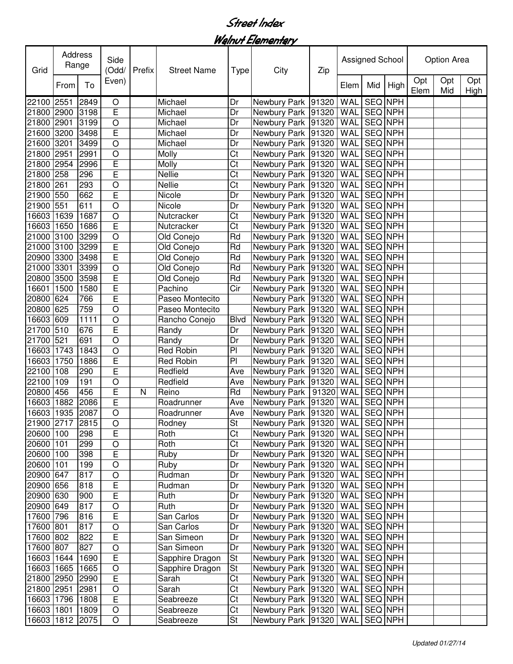Walnut Elementary

| Grid            | Address<br>Range |      | Side<br>(Odd/  | Prefix | <b>Street Name</b> | Type                     | City                           | Zip | <b>Assigned School</b> |                |      | Option Area |            |             |  |
|-----------------|------------------|------|----------------|--------|--------------------|--------------------------|--------------------------------|-----|------------------------|----------------|------|-------------|------------|-------------|--|
|                 | From             | To   | Even)          |        |                    |                          |                                |     | Elem                   | Mid            | High | Opt<br>Elem | Opt<br>Mid | Opt<br>High |  |
| 22100           | 2551             | 2849 | O              |        | Michael            | Dr                       | Newbury Park 91320             |     | WAL                    | <b>SEQ NPH</b> |      |             |            |             |  |
| 21800 2900      |                  | 3198 | $\overline{E}$ |        | Michael            | Dr                       | Newbury Park 91320             |     | WAL                    | <b>SEQ NPH</b> |      |             |            |             |  |
| 21800           | 2901             | 3199 | $\circ$        |        | Michael            | Dr                       | Newbury Park 91320             |     | WAL                    | SEQ NPH        |      |             |            |             |  |
| 21600           | 3200             | 3498 | $\overline{E}$ |        | Michael            | Dr                       | Newbury Park 91320             |     | WAL                    | SEQ NPH        |      |             |            |             |  |
| 21600           | 3201             | 3499 | $\circ$        |        | Michael            | Dr                       | Newbury Park 91320             |     | WAL                    | SEQ NPH        |      |             |            |             |  |
| 21800           | 2951             | 2991 | $\circ$        |        | Molly              | Ct                       | Newbury Park 91320             |     | WAL                    | SEQ NPH        |      |             |            |             |  |
| 21800           | 2954             | 2996 | $\overline{E}$ |        | Molly              | Ct                       | Newbury Park 91320             |     | WAL                    | SEQ NPH        |      |             |            |             |  |
| 21800           | 258              | 296  | $\mathsf E$    |        | Nellie             | Ct                       | Newbury Park 91320             |     | WAL                    | SEQ NPH        |      |             |            |             |  |
| 21800           | 261              | 293  | $\circ$        |        | Nellie             | Ct                       | Newbury Park 91320             |     | WAL                    | <b>SEQ NPH</b> |      |             |            |             |  |
| 21900           | 550              | 662  | $\mathsf E$    |        | Nicole             | Dr                       | Newbury Park 91320             |     | WAL                    | <b>SEQ NPH</b> |      |             |            |             |  |
| 21900           | 551              | 611  | $\circ$        |        | Nicole             | Dr                       | Newbury Park 91320             |     | WAL                    | SEQ NPH        |      |             |            |             |  |
| 16603           | 1639             | 1687 | $\circ$        |        | Nutcracker         | Ct                       | Newbury Park 91320             |     | WAL                    | <b>SEQ NPH</b> |      |             |            |             |  |
| 16603           | 1650             | 1686 | E              |        | Nutcracker         | $\overline{\text{Ct}}$   | Newbury Park 91320             |     | WAL                    | SEQ NPH        |      |             |            |             |  |
| 21000 3100      |                  | 3299 | $\circ$        |        | Old Conejo         | $\overline{Rd}$          | Newbury Park 91320             |     | WAL                    | <b>SEQ NPH</b> |      |             |            |             |  |
| 21000           | 3100             | 3299 | E              |        | Old Conejo         | $\overline{Rd}$          | Newbury Park 91320             |     | WAL                    | <b>SEQ NPH</b> |      |             |            |             |  |
| 20900 3300      |                  | 3498 | E              |        | Old Conejo         | Rd                       | Newbury Park 91320             |     | WAL                    | <b>SEQ NPH</b> |      |             |            |             |  |
| 21000           | 3301             | 3399 | $\circ$        |        | Old Conejo         | Rd                       | Newbury Park 91320             |     | WAL                    | <b>SEQ NPH</b> |      |             |            |             |  |
| 20800           | 3500             | 3598 | $\mathsf E$    |        | Old Conejo         | Rd                       | Newbury Park 91320             |     | WAL                    | SEQ NPH        |      |             |            |             |  |
| 16601           | 1500             | 1580 | E              |        | Pachino            | Cir                      | Newbury Park 91320             |     | WAL                    | <b>SEQ NPH</b> |      |             |            |             |  |
| 20800           | 624              | 766  | E              |        | Paseo Montecito    |                          | Newbury Park 91320             |     | WAL                    | <b>SEQ NPH</b> |      |             |            |             |  |
| 20800           | 625              | 759  | O              |        | Paseo Montecito    |                          | Newbury Park 91320             |     | WAL                    | SEQ NPH        |      |             |            |             |  |
| 16603           | 609              | 1111 | $\circ$        |        | Rancho Conejo      | <b>Blvd</b>              | Newbury Park 91320             |     | WAL                    | SEQ NPH        |      |             |            |             |  |
| 21700           | 510              | 676  | $\overline{E}$ |        | Randy              | Dr                       | Newbury Park 91320             |     | WAL                    | SEQ NPH        |      |             |            |             |  |
| 21700           | 521              | 691  | $\circ$        |        | Randy              | Dr                       | Newbury Park 91320             |     | WAL                    | <b>SEQ NPH</b> |      |             |            |             |  |
| 16603           | 1743             | 1843 | $\circ$        |        | Red Robin          | P <sub>1</sub>           | Newbury Park 91320             |     | WAL                    | SEQ NPH        |      |             |            |             |  |
| 16603           | 1750             | 1886 | $\mathsf E$    |        | <b>Red Robin</b>   | PI                       | Newbury Park 91320             |     | WAL                    | SEQ NPH        |      |             |            |             |  |
| 22100           | 108              | 290  | $\mathsf E$    |        | Redfield           | Ave                      | Newbury Park 91320             |     | WAL                    | SEQ NPH        |      |             |            |             |  |
| 22100           | 109              | 191  | $\circ$        |        | Redfield           | Ave                      | Newbury Park 91320             |     | WAL                    | SEQ NPH        |      |             |            |             |  |
| 20800 456       |                  | 456  | $\mathsf E$    | N      | Reino              | Rd                       | Newbury Park   91320           |     | WAL                    | SEQ NPH        |      |             |            |             |  |
| 16603           | 1882             | 2086 | E              |        | Roadrunner         | Ave                      | Newbury Park 91320             |     | WAL                    | SEQ NPH        |      |             |            |             |  |
| 16603 1935 2087 |                  |      | $\circ$        |        | Roadrunner         | Ave                      | Newbury Park 91320   WAL       |     |                        | <b>SEQ NPH</b> |      |             |            |             |  |
| 21900 2717 2815 |                  |      | $\bigcirc$     |        | Rodney             | $\overline{\mathsf{St}}$ | Newbury Park 91320 WAL SEQ NPH |     |                        |                |      |             |            |             |  |
| 20600 100       |                  | 298  | $\overline{E}$ |        | Roth               | $\overline{\text{C}t}$   | Newbury Park   91320   WAL     |     |                        | SEQ NPH        |      |             |            |             |  |
| 20600 101       |                  | 299  | $\bigcirc$     |        | Roth               | Ct                       | Newbury Park 91320             |     | <b>WAL</b>             | SEQ NPH        |      |             |            |             |  |
| 20600 100       |                  | 398  | $\mathsf E$    |        | <b>Ruby</b>        | Dr                       | Newbury Park 91320             |     | <b>WAL</b>             | SEQ NPH        |      |             |            |             |  |
| 20600 101       |                  | 199  | $\circ$        |        | Ruby               | Dr                       | Newbury Park 91320             |     | <b>WAL</b>             | SEQ NPH        |      |             |            |             |  |
| 20900 647       |                  | 817  | $\circ$        |        | Rudman             | Dr                       | Newbury Park 91320             |     | <b>WAL</b>             | <b>SEQ NPH</b> |      |             |            |             |  |
| 20900 656       |                  | 818  | $\overline{E}$ |        | Rudman             | Dr                       | Newbury Park 91320             |     | WAL                    | SEQ NPH        |      |             |            |             |  |
| 20900 630       |                  | 900  | $\mathsf E$    |        | Ruth               | Dr                       | Newbury Park 91320             |     | <b>WAL</b>             | SEQ NPH        |      |             |            |             |  |
| 20900 649       |                  | 817  | $\circ$        |        | Ruth               | Dr                       | Newbury Park 91320             |     | WAL                    | SEQ NPH        |      |             |            |             |  |
| 17600 796       |                  | 816  | $\mathsf E$    |        | San Carlos         | Dr                       | Newbury Park 91320             |     | WAL                    | SEQ NPH        |      |             |            |             |  |
| 17600 801       |                  | 817  | $\circ$        |        | San Carlos         | Dr                       | Newbury Park 91320             |     | WAL                    | SEQ NPH        |      |             |            |             |  |
| 17600 802       |                  | 822  | $\mathsf E$    |        | San Simeon         | Dr                       | Newbury Park 91320             |     | WAL                    | SEQ NPH        |      |             |            |             |  |
| 17600 807       |                  | 827  | $\bigcirc$     |        | San Simeon         | Dr                       | Newbury Park 91320             |     | WAL                    | SEQ NPH        |      |             |            |             |  |
| 16603 1644      |                  | 1690 | $\mathsf E$    |        | Sapphire Dragon    | St                       | Newbury Park 91320             |     | WAL                    | SEQ NPH        |      |             |            |             |  |
| 16603           | 1665             | 1665 | $\bigcirc$     |        | Sapphire Dragon    | St                       | Newbury Park 91320             |     | WAL                    | SEQ NPH        |      |             |            |             |  |
| 21800 2950      |                  | 2990 | $\mathsf E$    |        | Sarah              | Ct                       | Newbury Park 91320             |     | WAL                    | SEQ NPH        |      |             |            |             |  |
| 21800 2951      |                  | 2981 | $\bigcirc$     |        | Sarah              | $\overline{\text{C}t}$   | Newbury Park 91320             |     | WAL                    | <b>SEQ NPH</b> |      |             |            |             |  |
| 16603 1796      |                  | 1808 | $\overline{E}$ |        | Seabreeze          | $\overline{\text{C}t}$   | Newbury Park 91320             |     | WAL                    | SEQ NPH        |      |             |            |             |  |
| 16603           | 1801             | 1809 | $\bigcirc$     |        | Seabreeze          | Ct                       | Newbury Park 91320             |     | WAL                    | SEQ NPH        |      |             |            |             |  |
| 16603 1812 2075 |                  |      | O              |        | Seabreeze          | St                       | Newbury Park 91320             |     | <b>WAL</b>             | SEQ NPH        |      |             |            |             |  |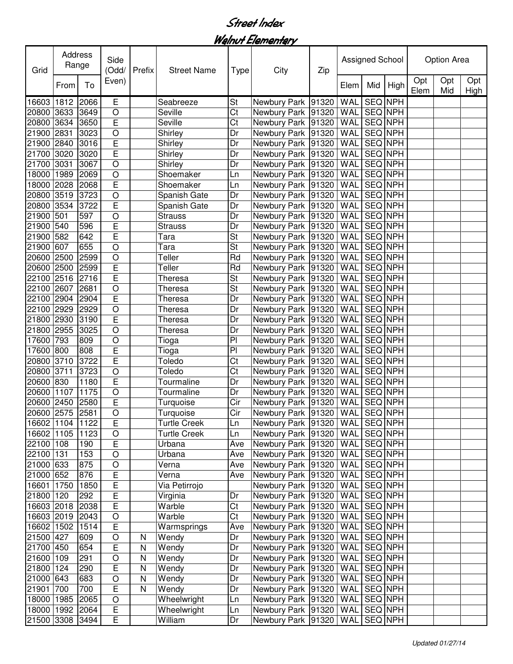Walnut Elementary

| Grid            | Address<br>Range |      | Side<br>(Odd/  | Prefix | <b>Street Name</b>  | Type                     | City                           | Zip | Assigned School |                |          | Option Area |            |             |
|-----------------|------------------|------|----------------|--------|---------------------|--------------------------|--------------------------------|-----|-----------------|----------------|----------|-------------|------------|-------------|
|                 | From             | To   | Even)          |        |                     |                          |                                |     | Elem            |                | Mid High | Opt<br>Elem | Opt<br>Mid | Opt<br>High |
| 16603           | 1812             | 2066 | E              |        | Seabreeze           | St                       | Newbury Park 91320             |     | <b>WAL</b>      | SEQ NPH        |          |             |            |             |
| 20800           | 3633             | 3649 | $\circ$        |        | Seville             | Ct                       | Newbury Park 91320             |     | WAL             | <b>SEQ NPH</b> |          |             |            |             |
| 20800           | 3634             | 3650 | $\overline{E}$ |        | Seville             | Ct                       | Newbury Park 91320             |     | WAL             | SEQ NPH        |          |             |            |             |
| 21900           | 2831             | 3023 | $\circ$        |        | Shirley             | Dr                       | Newbury Park 91320             |     | <b>WAL</b>      | SEQ NPH        |          |             |            |             |
| 21900           | 2840             | 3016 | $\overline{E}$ |        | Shirley             | Dr                       | Newbury Park 91320             |     | WAL             | SEQ NPH        |          |             |            |             |
| 21700           | 3020             | 3020 | $\overline{E}$ |        | Shirley             | Dr                       | Newbury Park 91320             |     | WAL             | SEQ NPH        |          |             |            |             |
| 21700           | 3031             | 3067 | $\circ$        |        | Shirley             | Dr                       | Newbury Park 91320             |     | WAL             | SEQ NPH        |          |             |            |             |
| 18000 1989      |                  | 2069 | $\circ$        |        | Shoemaker           | Ln                       | Newbury Park 91320             |     | WAL             | <b>SEQ NPH</b> |          |             |            |             |
| 18000           | 2028             | 2068 | $\mathsf E$    |        | Shoemaker           | Ln                       | Newbury Park 91320             |     | WAL             | <b>SEQ NPH</b> |          |             |            |             |
| 20800 3519      |                  | 3723 | $\circ$        |        | Spanish Gate        | Dr                       | Newbury Park 91320             |     | WAL             | SEQ NPH        |          |             |            |             |
| 20800           | 3534             | 3722 | $\mathsf E$    |        | Spanish Gate        | Dr                       | Newbury Park 91320             |     | WAL             | <b>SEQ NPH</b> |          |             |            |             |
| 21900           | 501              | 597  | $\circ$        |        | <b>Strauss</b>      | Dr                       | Newbury Park 91320             |     | WAL             | <b>SEQ NPH</b> |          |             |            |             |
| 21900 540       |                  | 596  | E              |        | <b>Strauss</b>      | Dr                       | Newbury Park 91320             |     | WAL             | <b>SEQ NPH</b> |          |             |            |             |
| 21900           | 582              | 642  | Ē              |        | Tara                | St                       | Newbury Park 91320             |     | WAL             | <b>SEQ NPH</b> |          |             |            |             |
| 21900           | 607              | 655  | $\circ$        |        | Tara                | $\overline{\mathsf{St}}$ | Newbury Park 91320             |     | WAL             | <b>SEQ NPH</b> |          |             |            |             |
| 20600 2500      |                  | 2599 | $\circ$        |        | Teller              | Rd                       | Newbury Park 91320             |     | WAL             | <b>SEQ NPH</b> |          |             |            |             |
| 20600           | 2500             | 2599 | E              |        | Teller              | Rd                       | Newbury Park 91320             |     | WAL             | SEQ NPH        |          |             |            |             |
| 22100           | 2516             | 2716 | $\overline{E}$ |        | Theresa             | St                       | Newbury Park 91320             |     | WAL             | <b>SEQ NPH</b> |          |             |            |             |
| 22100           | 2607             | 2681 | $\circ$        |        | Theresa             | $\overline{\mathsf{St}}$ | Newbury Park 91320             |     | WAL             | <b>SEQ NPH</b> |          |             |            |             |
| 22100           | 2904             | 2904 | $\mathsf E$    |        | Theresa             | Dr                       | Newbury Park 91320             |     | WAL             | SEQ NPH        |          |             |            |             |
| 22100 2929      |                  | 2929 | $\circ$        |        | Theresa             | Dr                       | Newbury Park 91320             |     | WAL             | SEQ NPH        |          |             |            |             |
| 21800           | 2930             | 3190 | $\overline{E}$ |        | Theresa             | Dr                       | Newbury Park 91320             |     | WAL             | SEQ NPH        |          |             |            |             |
| 21800           | 2955             | 3025 | $\circ$        |        | Theresa             | Dr                       | Newbury Park 91320             |     | WAL             | SEQ NPH        |          |             |            |             |
| 17600           | 793              | 809  | $\circ$        |        | Tioga               | P                        | Newbury Park 91320             |     | WAL             | SEQ NPH        |          |             |            |             |
| 17600 800       |                  | 808  | $\mathsf E$    |        | Tioga               | PI                       | Newbury Park 91320             |     | WAL             | <b>SEQ NPH</b> |          |             |            |             |
| 20800 3710      |                  | 3722 | $\mathsf E$    |        | Toledo              | Ct                       | Newbury Park 91320             |     | WAL             | SEQ NPH        |          |             |            |             |
| 20800 3711      |                  | 3723 | $\circ$        |        | Toledo              | Ct                       | Newbury Park 91320             |     | WAL             | SEQ NPH        |          |             |            |             |
| 20600           | 830              | 1180 | $\overline{E}$ |        | Tourmaline          | Dr                       | Newbury Park 91320             |     | WAL             | SEQ NPH        |          |             |            |             |
| 20600           | 1107             | 1175 | $\circ$        |        | Tourmaline          | Dr                       | Newbury Park 91320             |     | WAL             | SEQ NPH        |          |             |            |             |
| 20600 2450      |                  | 2580 | E              |        | Turquoise           | Cir                      | Newbury Park 91320             |     | WAL             | <b>SEQ NPH</b> |          |             |            |             |
| 20600 2575      |                  | 2581 | $\circ$        |        | Turquoise           | Cir                      | Newbury Park 91320             |     | <b>WAL</b>      | SEQ NPH        |          |             |            |             |
| 16602 1104 1122 |                  |      | $\overline{E}$ |        | <b>Turtle Creek</b> | Ln                       | Newbury Park 91320 WAL SEQ NPH |     |                 |                |          |             |            |             |
| 16602 1105 1123 |                  |      | $\bigcirc$     |        | <b>Turtle Creek</b> | Ln                       | Newbury Park 91320             |     | WAL             | SEQ NPH        |          |             |            |             |
| 22100 108       |                  | 190  | $\mathsf E$    |        | Urbana              | Ave                      | Newbury Park 91320             |     | WAL             | SEQ NPH        |          |             |            |             |
| 22100 131       |                  | 153  | $\circ$        |        | Urbana              | Ave                      | Newbury Park 91320             |     | <b>WAL</b>      | <b>SEQ NPH</b> |          |             |            |             |
| 21000 633       |                  | 875  | $\circ$        |        | Verna               | Ave                      | Newbury Park 91320             |     | <b>WAL</b>      | <b>SEQ NPH</b> |          |             |            |             |
| 21000 652       |                  | 876  | $\overline{E}$ |        | Verna               | Ave                      | Newbury Park 91320             |     | <b>WAL</b>      | SEQ NPH        |          |             |            |             |
| 16601           | 1750             | 1850 | $\mathsf E$    |        | Via Petirrojo       |                          | Newbury Park 91320             |     | WAL             | SEQ NPH        |          |             |            |             |
| 21800           | 120              | 292  | $\overline{E}$ |        | Virginia            | Dr                       | Newbury Park 91320             |     | WAL             | SEQ NPH        |          |             |            |             |
| 16603 2018      |                  | 2038 | E              |        | Warble              | Ct                       | Newbury Park 91320             |     | WAL             | SEQ NPH        |          |             |            |             |
| 16603 2019      |                  | 2043 | $\bigcirc$     |        | Warble              | Ct                       | Newbury Park 91320             |     | <b>WAL</b>      | SEQ NPH        |          |             |            |             |
| 16602 1502      |                  | 1514 | $\mathsf E$    |        | Warmsprings         | Ave                      | Newbury Park 91320             |     | WAL             | SEQ NPH        |          |             |            |             |
| 21500 427       |                  | 609  | $\circ$        | N      | Wendy               | Dr                       | Newbury Park 91320             |     | WAL             | SEQ NPH        |          |             |            |             |
| 21700 450       |                  | 654  | $\mathsf E$    | N      | Wendy               | Dr                       | Newbury Park 91320             |     | WAL             | SEQ NPH        |          |             |            |             |
| 21600           | 109              | 291  | $\circ$        | N      | Wendy               | Dr                       | Newbury Park 91320             |     | <b>WAL</b>      | SEQ NPH        |          |             |            |             |
| 21800           | 124              | 290  | $\mathsf E$    | N      | Wendy               | Dr                       | Newbury Park 91320             |     | WAL             | SEQ NPH        |          |             |            |             |
| 21000           | 643              | 683  | $\circ$        | N      | Wendy               | Dr                       | Newbury Park 91320             |     | WAL             | SEQ NPH        |          |             |            |             |
| 21901           | 700              | 700  | $\mathsf E$    | N      | Wendy               | Dr                       | Newbury Park 91320             |     | WAL             | SEQ NPH        |          |             |            |             |
| 18000           | 1985             | 2065 | $\bigcirc$     |        | Wheelwright         | Ln                       | Newbury Park 91320             |     | WAL             | SEQ NPH        |          |             |            |             |
| 18000           | 1992             | 2064 | $\mathsf E$    |        | Wheelwright         | Ln                       | Newbury Park 91320             |     | WAL             | SEQ NPH        |          |             |            |             |
| 21500 3308      |                  | 3494 | E              |        | William             | Dr                       | Newbury Park 91320             |     | WAL             | SEQ NPH        |          |             |            |             |